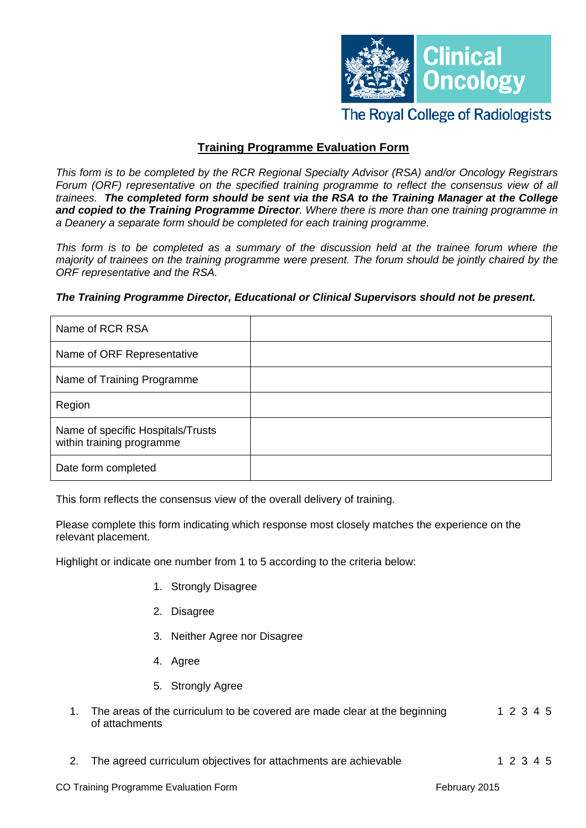

## **The Royal College of Radiologists**

### **Training Programme Evaluation Form**

*This form is to be completed by the RCR Regional Specialty Advisor (RSA) and/or Oncology Registrars Forum (ORF) representative on the specified training programme to reflect the consensus view of all trainees. The completed form should be sent via the RSA to the Training Manager at the College and copied to the Training Programme Director. Where there is more than one training programme in a Deanery a separate form should be completed for each training programme.* 

*This form is to be completed as a summary of the discussion held at the trainee forum where the majority of trainees on the training programme were present. The forum should be jointly chaired by the ORF representative and the RSA.* 

# Name of RCR RSA Name of ORF Representative Name of Training Programme Region Name of specific Hospitals/Trusts within training programme Date form completed

#### *The Training Programme Director, Educational or Clinical Supervisors should not be present.*

This form reflects the consensus view of the overall delivery of training.

Please complete this form indicating which response most closely matches the experience on the relevant placement.

Highlight or indicate one number from 1 to 5 according to the criteria below:

- 1. Strongly Disagree
- 2. Disagree
- 3. Neither Agree nor Disagree
- 4. Agree
- 5. Strongly Agree
- 1. The areas of the curriculum to be covered are made clear at the beginning 1 2 3 4 5 of attachments
- 2. The agreed curriculum objectives for attachments are achievable 1 2 3 4 5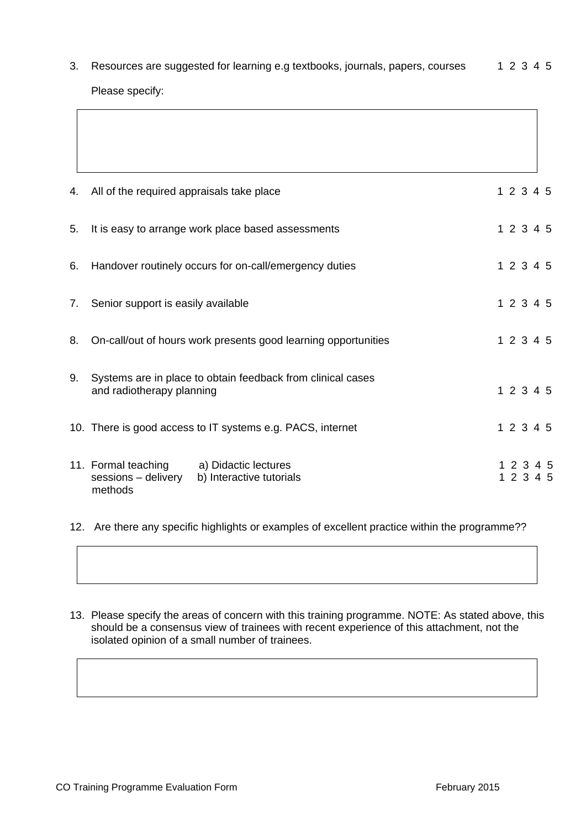3. Resources are suggested for learning e.g textbooks, journals, papers, courses 1 2 3 4 5 Please specify:

| 4. | All of the required appraisals take place                                                                 | 1 2 3 4 5          |  |
|----|-----------------------------------------------------------------------------------------------------------|--------------------|--|
| 5. | It is easy to arrange work place based assessments                                                        | 1 2 3 4 5          |  |
| 6. | Handover routinely occurs for on-call/emergency duties                                                    | 1 2 3 4 5          |  |
| 7. | Senior support is easily available                                                                        | 1 2 3 4 5          |  |
| 8. | On-call/out of hours work presents good learning opportunities                                            | 1 2 3 4 5          |  |
| 9. | Systems are in place to obtain feedback from clinical cases<br>and radiotherapy planning                  | 1 2 3 4 5          |  |
|    | 10. There is good access to IT systems e.g. PACS, internet                                                | 1 2 3 4 5          |  |
|    | 11. Formal teaching<br>a) Didactic lectures<br>sessions - delivery<br>b) Interactive tutorials<br>methods | 1 2 3<br>1 2 3 4 5 |  |

12. Are there any specific highlights or examples of excellent practice within the programme??

13. Please specify the areas of concern with this training programme. NOTE: As stated above, this should be a consensus view of trainees with recent experience of this attachment, not the isolated opinion of a small number of trainees.